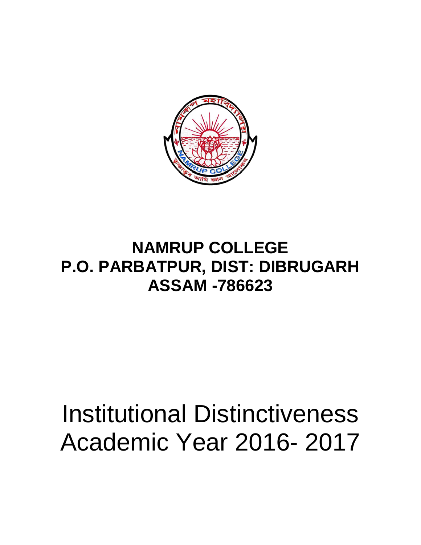

## **NAMRUP COLLEGE P.O. PARBATPUR, DIST: DIBRUGARH ASSAM -786623**

## Institutional Distinctiveness Academic Year 2016- 2017